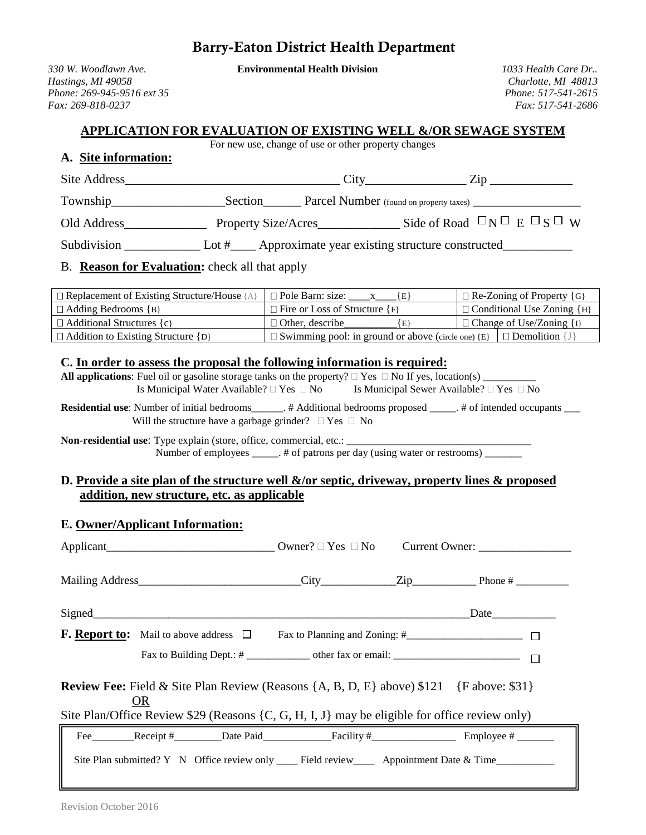# Barry-Eaton District Health Department

*330 W. Woodlawn Ave.* **Environmental Health Division** *1033 Health Care Dr..*

*Hastings, MI 49058 Charlotte, MI 48813 Phone: 269-945-9516 ext 35 Phone: 517-541-2615 Fax: 269-818-0237 Fax: 517-541-2686*

#### **APPLICATION FOR EVALUATION OF EXISTING WELL &/OR SEWAGE SYSTEM**

For new use, change of use or other property changes

#### **A. Site information:**

| Site Address | $\mathbf{C}$ ity<br>71n                                           |
|--------------|-------------------------------------------------------------------|
| Township     | Section<br>Parcel Number (found on property taxes)                |
| Old Address  | Side of Road $\Box N \Box E \Box S \Box W$<br>Property Size/Acres |
| Subdivision  | _ Approximate year existing structure constructed_<br>Lot $#$     |

### B. **Reason for Evaluation:** check all that apply

| $\Box$ Replacement of Existing Structure/House {A} | $\Box$ Pole Barn: size:                                                         |                                       | $\Box$ Re-Zoning of Property {G}    |
|----------------------------------------------------|---------------------------------------------------------------------------------|---------------------------------------|-------------------------------------|
| $\Box$ Adding Bedrooms {B}                         | $\Box$ Fire or Loss of Structure {F}                                            | $\Box$ Conditional Use Zoning $\{H\}$ |                                     |
| $\Box$ Additional Structures {c}                   | $\Box$ Other, describe<br>1 E }                                                 |                                       | $\Box$ Change of Use/Zoning $\{I\}$ |
| $\Box$ Addition to Existing Structure {D}          | $\Box$ Swimming pool: in ground or above (circle one) {E} $\Box$ Demolition {J} |                                       |                                     |

#### **C. In order to assess the proposal the following information is required:**

**All applications**: Fuel oil or gasoline storage tanks on the property?  $\Box$  Yes  $\Box$  No If yes, location(s) Is Municipal Water Available?  $\Box$  Yes  $\Box$  No Is Municipal Sewer Available?  $\Box$  Yes  $\Box$  No

**Residential use**: Number of initial bedrooms\_\_\_\_\_\_. # Additional bedrooms proposed \_\_\_\_\_. # of intended occupants \_\_ Will the structure have a garbage grinder?  $\Box$  Yes  $\Box$  No

**Non-residential use**: Type explain (store, office, commercial, etc.: \_\_\_\_\_\_\_\_\_\_\_\_\_\_\_\_\_\_\_\_\_\_\_\_\_\_\_\_\_\_\_\_\_\_\_ Number of employees \_\_\_\_\_. # of patrons per day (using water or restrooms) \_\_\_\_\_

#### **D. Provide a site plan of the structure well &/or septic, driveway, property lines & proposed addition, new structure, etc. as applicable**

## **E. Owner/Applicant Information:**

| <b>Review Fee:</b> Field & Site Plan Review (Reasons $\{A, B, D, E\}$ above) \$121 $\{F \text{ above: } $31\}$<br><b>OR</b><br>Site Plan/Office Review \$29 (Reasons $\{C, G, H, I, J\}$ may be eligible for office review only) |  |  |  |                                                                                                                |
|----------------------------------------------------------------------------------------------------------------------------------------------------------------------------------------------------------------------------------|--|--|--|----------------------------------------------------------------------------------------------------------------|
|                                                                                                                                                                                                                                  |  |  |  |                                                                                                                |
|                                                                                                                                                                                                                                  |  |  |  | Fee Receipt $\#$ Date Paid Facility $\#$ Receipt $\#$ Employee $\#$ Receipt $\#$                               |
|                                                                                                                                                                                                                                  |  |  |  | Site Plan submitted? Y N Office review only _______ Field review_________ Appointment Date & Time_____________ |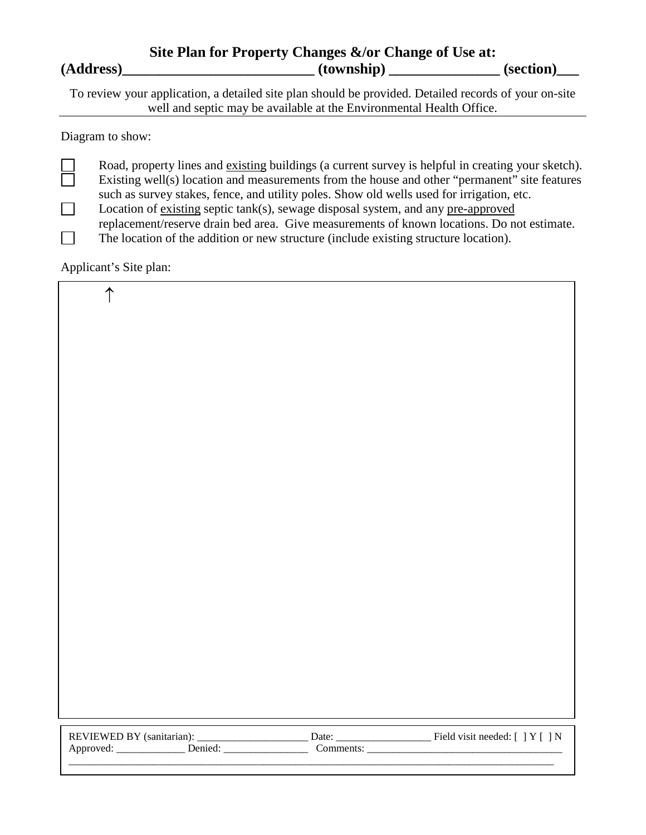|           | Site Plan for Property Changes &/or Change of Use at: |           |
|-----------|-------------------------------------------------------|-----------|
| (Address) | (township)                                            | (section) |

To review your application, a detailed site plan should be provided. Detailed records of your on-site well and septic may be available at the Environmental Health Office.

Diagram to show:

Road, property lines and existing buildings (a current survey is helpful in creating your sketch). Existing well(s) location and measurements from the house and other "permanent" site features such as survey stakes, fence, and utility poles. Show old wells used for irrigation, etc.  $\Box$ Location of existing septic tank(s), sewage disposal system, and any pre-approved

replacement/reserve drain bed area. Give measurements of known locations. Do not estimate.

 $\Box$ The location of the addition or new structure (include existing structure location).

Applicant's Site plan:

| $\uparrow$ |  |
|------------|--|
|            |  |
|            |  |
|            |  |
|            |  |
|            |  |
|            |  |
|            |  |
|            |  |
|            |  |
|            |  |
|            |  |
|            |  |
|            |  |
|            |  |
|            |  |
|            |  |
|            |  |
|            |  |

| <b>REVIEWED</b>  | constanto | Jate<br>___________ | Frold mort<br>at needed: '<br>$\ Y\ $ |
|------------------|-----------|---------------------|---------------------------------------|
| $\lambda$<br>Api |           |                     |                                       |